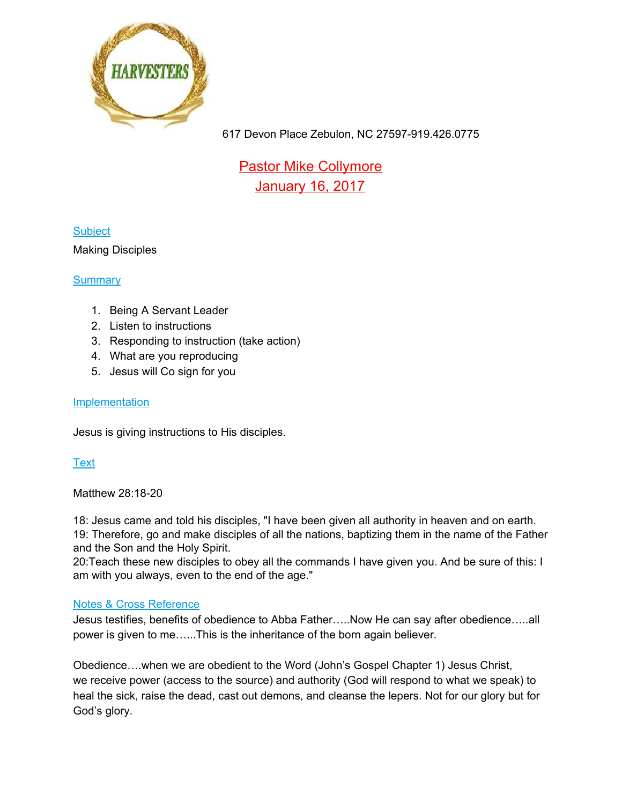

Pastor Mike Collymore January 16, 2017

## **Subject**

#### Making Disciples

### **Summary**

- 1. Being A Servant Leader
- 2. Listen to instructions
- 3. Responding to instruction (take action)
- 4. What are you reproducing
- 5. Jesus will Co sign for you

#### Implementation

Jesus is giving instructions to His disciples.

## **Text**

Matthew 28:18-20

18: Jesus came and told his disciples, "I have been given all authority in heaven and on earth. 19: Therefore, go and make disciples of all the nations, baptizing them in the name of the Father and the Son and the Holy Spirit.

20:Teach these new disciples to obey all the commands I have given you. And be sure of this: I am with you always, even to the end of the age."

#### Notes & Cross Reference

Jesus testifies, benefits of obedience to Abba Father…..Now He can say after obedience…..all power is given to me…...This is the inheritance of the born again believer.

Obedience….when we are obedient to the Word (John's Gospel Chapter 1) Jesus Christ, we receive power (access to the source) and authority (God will respond to what we speak) to heal the sick, raise the dead, cast out demons, and cleanse the lepers. Not for our glory but for God's glory.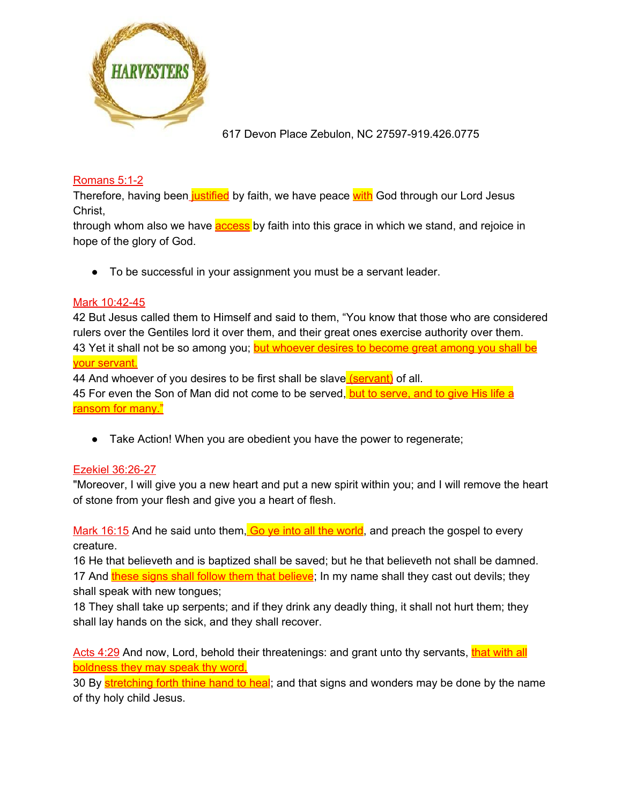

### Romans 5:1-2

Therefore, having been justified by faith, we have peace with God through our Lord Jesus Christ,

through whom also we have **access** by faith into this grace in which we stand, and rejoice in hope of the glory of God.

● To be successful in your assignment you must be a servant leader.

#### Mark 10:42-45

42 But Jesus called them to Himself and said to them, "You know that those who are considered rulers over the Gentiles lord it over them, and their great ones exercise authority over them. 43 Yet it shall not be so among you; but whoever desires to become great among you shall be your servant.

44 And whoever of you desires to be first shall be slave (servant) of all.

45 For even the Son of Man did not come to be served, but to serve, and to give His life a ransom for many."

• Take Action! When you are obedient you have the power to regenerate;

## Ezekiel 36:26-27

"Moreover, I will give you a new heart and put a new spirit within you; and I will remove the heart of stone from your flesh and give you a heart of flesh.

Mark 16:15 And he said unto them, Go ve into all the world, and preach the gospel to every creature.

16 He that believeth and is baptized shall be saved; but he that believeth not shall be damned. 17 And these signs shall follow them that believe; In my name shall they cast out devils; they shall speak with new tongues;

18 They shall take up serpents; and if they drink any deadly thing, it shall not hurt them; they shall lay hands on the sick, and they shall recover.

Acts 4:29 And now, Lord, behold their threatenings: and grant unto thy servants, that with all boldness they may speak thy word,

30 By stretching forth thine hand to heal; and that signs and wonders may be done by the name of thy holy child Jesus.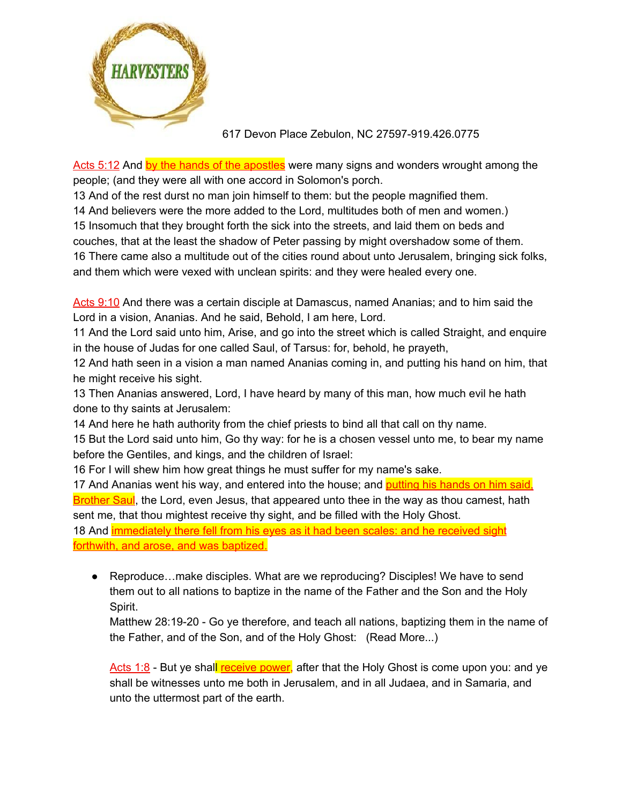

Acts 5:12 And by the hands of the apostles were many signs and wonders wrought among the people; (and they were all with one accord in Solomon's porch.

13 And of the rest durst no man join himself to them: but the people magnified them.

14 And believers were the more added to the Lord, multitudes both of men and women.)

15 Insomuch that they brought forth the sick into the streets, and laid them on beds and

couches, that at the least the shadow of Peter passing by might overshadow some of them.

16 There came also a multitude out of the cities round about unto Jerusalem, bringing sick folks, and them which were vexed with unclean spirits: and they were healed every one.

Acts 9:10 And there was a certain disciple at Damascus, named Ananias; and to him said the Lord in a vision, Ananias. And he said, Behold, I am here, Lord.

11 And the Lord said unto him, Arise, and go into the street which is called Straight, and enquire in the house of Judas for one called Saul, of Tarsus: for, behold, he prayeth,

12 And hath seen in a vision a man named Ananias coming in, and putting his hand on him, that he might receive his sight.

13 Then Ananias answered, Lord, I have heard by many of this man, how much evil he hath done to thy saints at Jerusalem:

14 And here he hath authority from the chief priests to bind all that call on thy name.

15 But the Lord said unto him, Go thy way: for he is a chosen vessel unto me, to bear my name before the Gentiles, and kings, and the children of Israel:

16 For I will shew him how great things he must suffer for my name's sake.

17 And Ananias went his way, and entered into the house; and putting his hands on him said, Brother Saul, the Lord, even Jesus, that appeared unto thee in the way as thou camest, hath sent me, that thou mightest receive thy sight, and be filled with the Holy Ghost.

18 And *immediately there fell from his eyes as it had been scales: and he received sight* forthwith, and arose, and was baptized.

● Reproduce…make disciples. What are we reproducing? Disciples! We have to send them out to all nations to baptize in the name of the Father and the Son and the Holy Spirit.

Matthew 28:19-20 - Go ye therefore, and teach all nations, baptizing them in the name of the Father, and of the Son, and of the Holy Ghost: (Read More...)

Acts 1:8 - But ye shall receive power, after that the Holy Ghost is come upon you: and ye shall be witnesses unto me both in Jerusalem, and in all Judaea, and in Samaria, and unto the uttermost part of the earth.